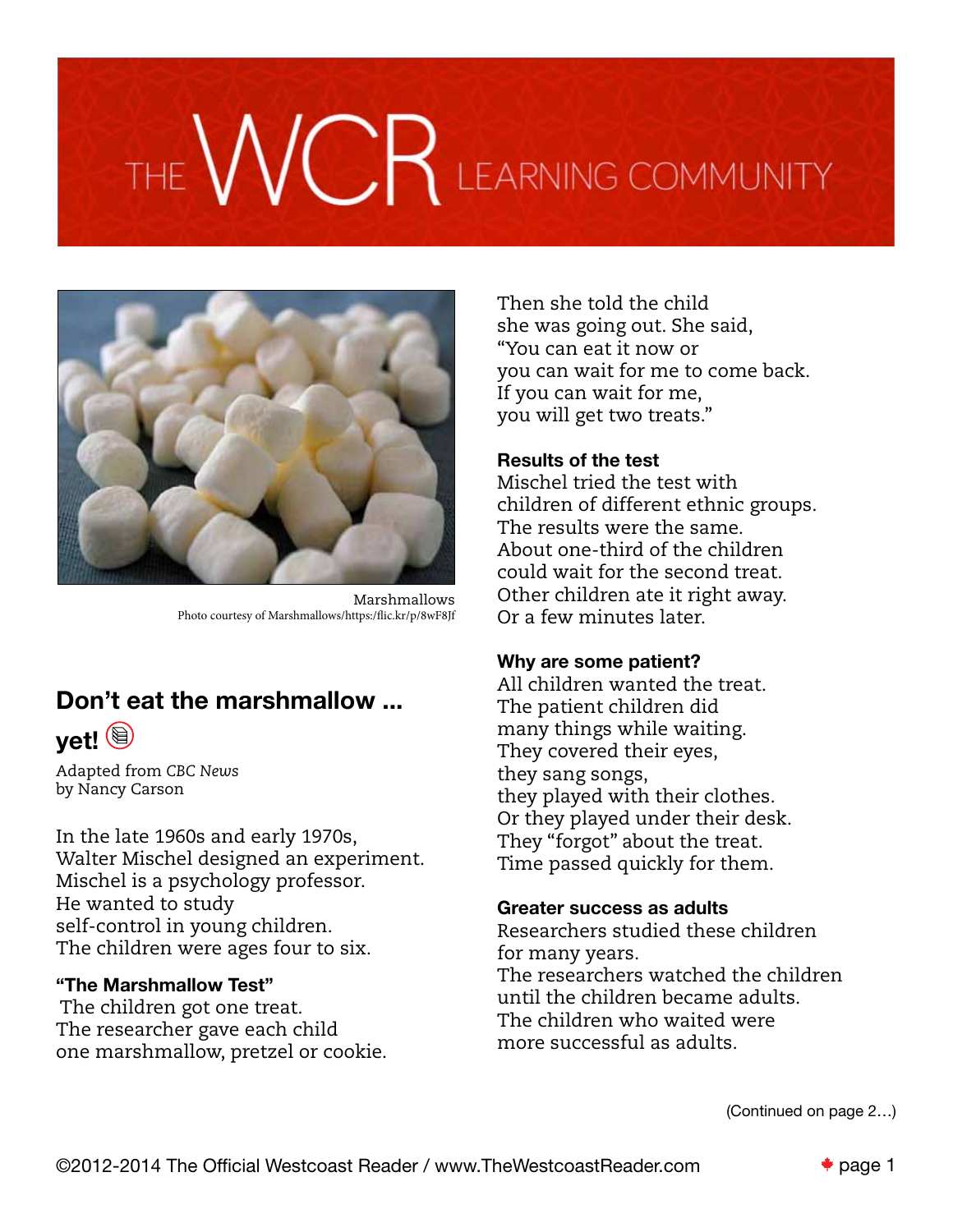# VCR LEARNING COMMUNITY



Marshmallows Photo courtesy of Marshmallows/https:/flic.kr/p/8wF8Jf

# Don't eat the marshmallow ...



Adapted from *CBC News* by Nancy Carson

In the late 1960s and early 1970s, Walter Mischel designed an experiment. Mischel is a psychology professor. He wanted to study self-control in young children. The children were ages four to six.

# "The Marshmallow Test"

 The children got one treat. The researcher gave each child one marshmallow, pretzel or cookie.

Then she told the child she was going out. She said, "You can eat it now or you can wait for me to come back. If you can wait for me, you will get two treats."

# Results of the test

Mischel tried the test with children of different ethnic groups. The results were the same. About one-third of the children could wait for the second treat. Other children ate it right away. Or a few minutes later.

# Why are some patient?

All children wanted the treat. The patient children did many things while waiting. They covered their eyes, they sang songs, they played with their clothes. Or they played under their desk. They "forgot" about the treat. Time passed quickly for them.

# Greater success as adults

Researchers studied these children for many years. The researchers watched the children until the children became adults. The children who waited were more successful as adults.

(Continued on page 2…)